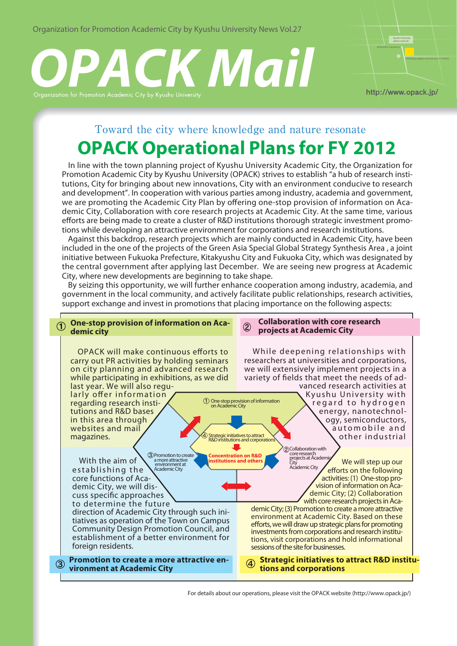Organization for Promotion Academic City by Kyushu University News Vol.27

# *OPACK Mail* Kyushu University



Toward the city where knowledge and nature resonate

# **OPACK Operational Plans for FY 2012**

 In line with the town planning project of Kyushu University Academic City, the Organization for Promotion Academic City by Kyushu University (OPACK) strives to establish "a hub of research institutions, City for bringing about new innovations, City with an environment conducive to research and development". In cooperation with various parties among industry, academia and government, we are promoting the Academic City Plan by offering one-stop provision of information on Academic City, Collaboration with core research projects at Academic City. At the same time, various efforts are being made to create a cluster of R&D institutions thorough strategic investment promotions while developing an attractive environment for corporations and research institutions.

 Against this backdrop, research projects which are mainly conducted in Academic City, have been included in the one of the projects of the Green Asia Special Global Strategy Synthesis Area , a joint initiative between Fukuoka Prefecture, Kitakyushu City and Fukuoka City, which was designated by the central government after applying last December. We are seeing new progress at Academic City, where new developments are beginning to take shape.

 By seizing this opportunity, we will further enhance cooperation among industry, academia, and government in the local community, and actively facilitate public relationships, research activities, support exchange and invest in promotions that placing importance on the following aspects:



For details about our operations, please visit the OPACK website (http://www.opack.jp/)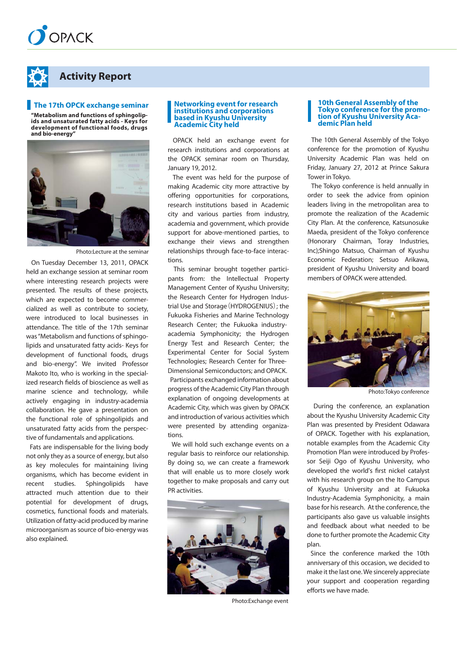



# **Activity Report**

#### **The 17th OPCK exchange seminar**

**"Metabolism and functions of sphingolipids and unsaturated fatty acids - Keys for development of functional foods, drugs and bio-energy"**



Photo:Lecture at the seminar

 On Tuesday December 13, 2011, OPACK held an exchange session at seminar room where interesting research projects were presented. The results of these projects, which are expected to become commercialized as well as contribute to society, were introduced to local businesses in attendance. The title of the 17th seminar was "Metabolism and functions of sphingolipids and unsaturated fatty acids- Keys for development of functional foods, drugs and bio-energy". We invited Professor Makoto Ito, who is working in the specialized research fields of bioscience as well as marine science and technology, while actively engaging in industry-academia collaboration. He gave a presentation on the functional role of sphingolipids and unsaturated fatty acids from the perspective of fundamentals and applications.

 Fats are indispensable for the living body not only they as a source of energy, but also as key molecules for maintaining living organisms, which has become evident in recent studies. Sphingolipids have attracted much attention due to their potential for development of drugs, cosmetics, functional foods and materials. Utilization of fatty-acid produced by marine microorganism as source of bio-energy was also explained.

#### **Networking event for research institutions and corporations based in Kyushu University Academic City held**

 OPACK held an exchange event for research institutions and corporations at the OPACK seminar room on Thursday, January 19, 2012.

 The event was held for the purpose of making Academic city more attractive by offering opportunities for corporations, research institutions based in Academic city and various parties from industry, academia and government, which provide support for above-mentioned parties, to exchange their views and strengthen relationships through face-to-face interactions.

 This seminar brought together participants from: the Intellectual Property Management Center of Kyushu University; the Research Center for Hydrogen Industrial Use and Storage(HYDROGENIUS); the Fukuoka Fisheries and Marine Technology Research Center; the Fukuoka industryacademia Symphonicity; the Hydrogen Energy Test and Research Center; the Experimental Center for Social System Technologies; Research Center for Three-Dimensional Semiconductors; and OPACK. Participants exchanged information about progress of the Academic City Plan through explanation of ongoing developments at Academic City, which was given by OPACK and introduction of various activities which were presented by attending organizations.

We will hold such exchange events on a regular basis to reinforce our relationship. By doing so, we can create a framework that will enable us to more closely work together to make proposals and carry out PR activities.



Photo:Exchange event

#### **10th General Assembly of the Tokyo conference for the promotion of Kyushu University Academic Plan held**

 The 10th General Assembly of the Tokyo conference for the promotion of Kyushu University Academic Plan was held on Friday, January 27, 2012 at Prince Sakura Tower in Tokyo.

 The Tokyo conference is held annually in order to seek the advice from opinion leaders living in the metropolitan area to promote the realization of the Academic City Plan. At the conference, Katsunosuke Maeda, president of the Tokyo conference (Honorary Chairman, Toray Industries, Inc);Shingo Matsuo, Chairman of Kyushu Economic Federation; Setsuo Arikawa, president of Kyushu University and board members of OPACK were attended.



Photo:Tokyo conference

 During the conference, an explanation about the Kyushu University Academic City Plan was presented by President Odawara of OPACK. Together with his explanation, notable examples from the Academic City Promotion Plan were introduced by Professor Seiji Ogo of Kyushu University, who developed the world's first nickel catalyst with his research group on the Ito Campus of Kyushu University and at Fukuoka Industry-Academia Symphonicity, a main base for his research. At the conference, the participants also gave us valuable insights and feedback about what needed to be done to further promote the Academic City plan.

 Since the conference marked the 10th anniversary of this occasion, we decided to make it the last one. We sincerely appreciate your support and cooperation regarding efforts we have made.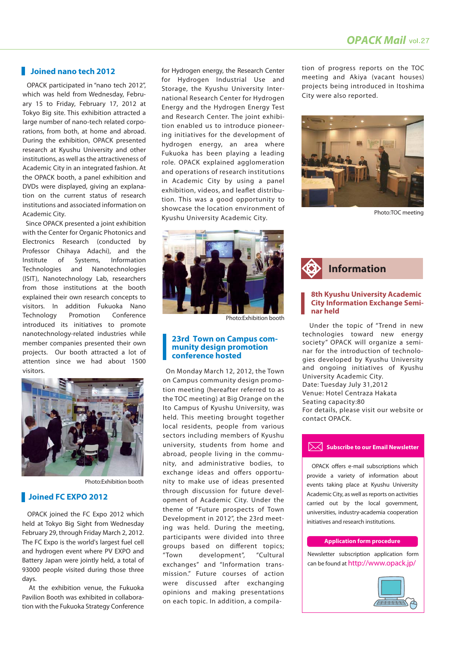#### **Joined nano tech 2012**

 OPACK participated in "nano tech 2012", which was held from Wednesday, February 15 to Friday, February 17, 2012 at Tokyo Big site. This exhibition attracted a large number of nano-tech related corporations, from both, at home and abroad. During the exhibition, OPACK presented research at Kyushu University and other institutions, as well as the attractiveness of Academic City in an integrated fashion. At the OPACK booth, a panel exhibition and DVDs were displayed, giving an explanation on the current status of research institutions and associated information on Academic City.

 Since OPACK presented a joint exhibition with the Center for Organic Photonics and Electronics Research (conducted by Professor Chihaya Adachi), and the Institute of Systems, Information Technologies and Nanotechnologies (ISIT), Nanotechnology Lab, researchers from those institutions at the booth explained their own research concepts to visitors. In addition Fukuoka Nano Technology Promotion Conference introduced its initiatives to promote nanotechnology-related industries while member companies presented their own projects. Our booth attracted a lot of attention since we had about 1500 visitors.



Photo:Exhibition booth

#### **Joined FC EXPO 2012**

 OPACK joined the FC Expo 2012 which held at Tokyo Big Sight from Wednesday February 29, through Friday March 2, 2012. The FC Expo is the world's largest fuel cell and hydrogen event where PV EXPO and Battery Japan were jointly held, a total of 93000 people visited during those three days.

 At the exhibition venue, the Fukuoka Pavilion Booth was exhibited in collaboration with the Fukuoka Strategy Conference for Hydrogen energy, the Research Center for Hydrogen Industrial Use and Storage, the Kyushu University International Research Center for Hydrogen Energy and the Hydrogen Energy Test and Research Center. The joint exhibition enabled us to introduce pioneering initiatives for the development of hydrogen energy, an area where Fukuoka has been playing a leading role. OPACK explained agglomeration and operations of research institutions in Academic City by using a panel exhibition, videos, and leaflet distribution. This was a good opportunity to showcase the location environment of Kyushu University Academic City.



Photo:Exhibition booth

#### **23rd Town on Campus community design promotion conference hosted**

 On Monday March 12, 2012, the Town on Campus community design promotion meeting (hereafter referred to as the TOC meeting) at Big Orange on the Ito Campus of Kyushu University, was held. This meeting brought together local residents, people from various sectors including members of Kyushu university, students from home and abroad, people living in the community, and administrative bodies, to exchange ideas and offers opportunity to make use of ideas presented through discussion for future development of Academic City. Under the theme of "Future prospects of Town Development in 2012", the 23rd meeting was held. During the meeting, participants were divided into three groups based on different topics; "Town development", "Cultural exchanges" and "Information transmission." Future courses of action were discussed after exchanging opinions and making presentations on each topic. In addition, a compilation of progress reports on the TOC meeting and Akiya (vacant houses) projects being introduced in Itoshima City were also reported.



Photo:TOC meeting



#### **8th Kyushu University Academic City Information Exchange Seminar held**

 Under the topic of "Trend in new technologies toward new energy society" OPACK will organize a seminar for the introduction of technologies developed by Kyushu University and ongoing initiatives of Kyushu University Academic City. Date: Tuesday July 31,2012 Venue: Hotel Centraza Hakata Seating capacity:80 For details, please visit our website or contact OPACK.

#### **Subscribe to our Email Newsletter**

 OPACK offers e-mail subscriptions which provide a variety of information about events taking place at Kyushu University Academic City, as well as reports on activities carried out by the local government, universities, industry-academia cooperation initiatives and research institutions.

#### **Application form procedure**

Newsletter subscription application form can be found at http://www.opack.jp/

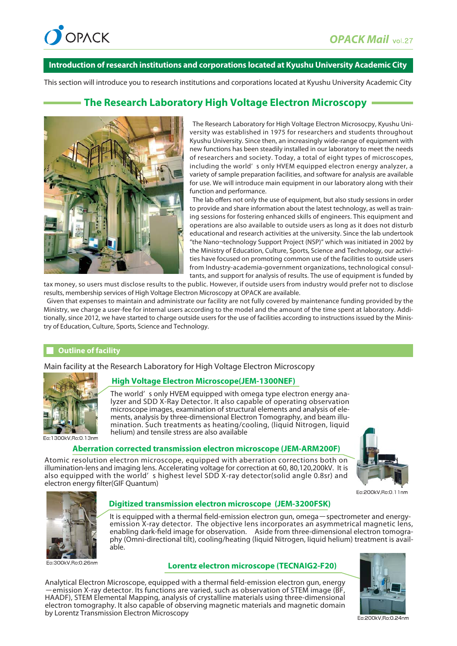

#### **Introduction of research institutions and corporations located at Kyushu University Academic City**

This section will introduce you to research institutions and corporations located at Kyushu University Academic City

# **The Research Laboratory High Voltage Electron Microscopy**



 The Research Laboratory for High Voltage Electron Microsocpy, Kyushu University was established in 1975 for researchers and students throughout Kyushu University. Since then, an increasingly wide-range of equipment with new functions has been steadily installed in our laboratory to meet the needs of researchers and society. Today, a total of eight types of microscopes, including the world' s only HVEM equipped electron energy analyzer, a variety of sample preparation facilities, and software for analysis are available for use. We will introduce main equipment in our laboratory along with their function and performance.

 The lab offers not only the use of equipment, but also study sessions in order to provide and share information about the latest technology, as well as training sessions for fostering enhanced skills of engineers. This equipment and operations are also available to outside users as long as it does not disturb educational and research activities at the university. Since the lab undertook "the Nano¬technology Support Project (NSP)" which was initiated in 2002 by the Ministry of Education, Culture, Sports, Science and Technology, our activities have focused on promoting common use of the facilities to outside users from Industry-academia-government organizations, technological consultants, and support for analysis of results. The use of equipment is funded by

tax money, so users must disclose results to the public. However, if outside users from industry would prefer not to disclose results, membership services of High Voltage Electron Microscopy at OPACK are available.

 Given that expenses to maintain and administrate our facility are not fully covered by maintenance funding provided by the Ministry, we charge a user-fee for internal users according to the model and the amount of the time spent at laboratory. Additionally, since 2012, we have started to charge outside users for the use of facilities according to instructions issued by the Ministry of Education, Culture, Sports, Science and Technology.

#### **Outline of facility**

Main facility at the Research Laboratory for High Voltage Electron Microscopy



En:1300kV Bn:0.13nm

#### **High Voltage Electron Microscope(JEM-1300NEF)**

The world' s only HVEM equipped with omega type electron energy analyzer and SDD X-Ray Detector. It also capable of operating observation microscope images, examination of structural elements and analysis of elements, analysis by three-dimensional Electron Tomography, and beam illumination. Such treatments as heating/cooling, (liquid Nitrogen, liquid helium) and tensile stress are also available



**Aberration corrected transmission electron microscope (JEM-ARM200F)**

Atomic resolution electron microscope, equipped with aberration corrections both on illumination-lens and imaging lens. Accelerating voltage for correction at 60, 80,120,200kV. It is also equipped with the world' s highest level SDD X-ray detector(solid angle 0.8sr) and electron energy filter(GIF Quantum)





Fo:300kV Bo:0.26nm

#### **Digitized transmission electron microscope (JEM-3200FSK)**

It is equipped with a thermal field-emission electron gun, omega-spectrometer and energyemission X-ray detector. The objective lens incorporates an asymmetrical magnetic lens, enabling dark-field image for observation. Aside from three-dimensional electron tomography (Omni-directional tilt), cooling/heating (liquid Nitrogen, liquid helium) treatment is available.

#### **Lorentz electron microscope (TECNAIG2-F20)**

Analytical Electron Microscope, equipped with a thermal field-emission electron gun, energy -emission X-ray detector. Its functions are varied, such as observation of STEM image (BF, HAADF), STEM Elemental Mapping, analysis of crystalline materials using three-dimensional electron tomography. It also capable of observing magnetic materials and magnetic domain by Lorentz Transmission Electron Microscopy



Eo:200kV.Ro:0.24nm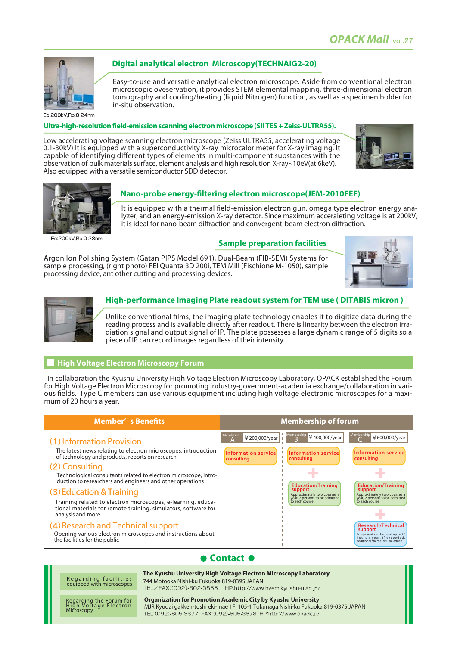

En:200kV Bn:0.24nm

**Ultra-high-resolution field-emission scanning electron microscope (SII TES + Zeiss-ULTRA55).**

in-situ observation.

**Digital analytical electron Microscopy(TECHNAIG2-20)**

Low accelerating voltage scanning electron microscope (Zeiss ULTRA55, accelerating voltage 0.1-30kV) It is equipped with a superconductivity X-ray microcalorimeter for X-ray imaging. It capable of identifying different types of elements in multi-component substances with the observation of bulk materials surface, element analysis and high resolution X-ray~10eV(at 6keV). Also equipped with a versatile semiconductor SDD detector.





Eo:200kV.Ro:0.23nm

#### **Nano-probe energy-filtering electron microscope(JEM-2010FEF)**

It is equipped with a thermal field-emission electron gun, omega type electron energy analyzer, and an energy-emission X-ray detector. Since maximum acceraleting voltage is at 200kV, it is ideal for nano-beam diffraction and convergent-beam electron diffraction.

Easy-to-use and versatile analytical electron microscope. Aside from conventional electron microscopic oveservation, it provides STEM elemental mapping, three-dimensional electron tomography and cooling/heating (liquid Nitrogen) function, as well as a specimen holder for

#### **Sample preparation facilities**

Argon Ion Polishing System (Gatan PIPS Model 691), Dual-Beam (FIB-SEM) Systems for sample processing, (right photo) FEI Quanta 3D 200i, TEM Mill (Fischione M-1050), sample processing device, ant other cutting and processing devices.





#### **High-performance Imaging Plate readout system for TEM use ( DITABIS micron )**

Unlike conventional films, the imaging plate technology enables it to digitize data during the reading process and is available directly after readout. There is linearity between the electron irradiation signal and output signal of IP. The plate possesses a large dynamic range of 5 digits so a piece of IP can record images regardless of their intensity.

#### **High Voltage Electron Microscopy Forum**

 In collaboration the Kyushu University High Voltage Electron Microscopy Laboratory, OPACK established the Forum for High Voltage Electron Microscopy for promoting industry-government-academia exchange/collaboration in various fields. Type C members can use various equipment including high voltage electronic microscopes for a maximum of 20 hours a year.

| <b>Member'</b> s Benefits                                                                                                                                                                                                                                                                                                                                                                                                                                                                                                                                                                                                  | <b>Membership of forum</b>                                                                                                                                                                                                                                                                                                                                                                                                                                                                                                                                                                                      |
|----------------------------------------------------------------------------------------------------------------------------------------------------------------------------------------------------------------------------------------------------------------------------------------------------------------------------------------------------------------------------------------------------------------------------------------------------------------------------------------------------------------------------------------------------------------------------------------------------------------------------|-----------------------------------------------------------------------------------------------------------------------------------------------------------------------------------------------------------------------------------------------------------------------------------------------------------------------------------------------------------------------------------------------------------------------------------------------------------------------------------------------------------------------------------------------------------------------------------------------------------------|
| (1) Information Provision<br>The latest news relating to electron microscopes, introduction<br>of technology and products, reports on research<br>(2) Consulting<br>Technological consultants related to electron microscope, intro-<br>duction to researchers and engineers and other operations<br>(3) Education & Training<br>Training related to electron microscopes, e-learning, educa-<br>tional materials for remote training, simulators, software for<br>analysis and more<br>(4) Research and Technical support<br>Opening various electron microscopes and instructions about<br>the facilities for the public | Membership<br>Membership<br>Membership<br>¥400,000/year<br>¥200,000/year<br>¥600,000/year<br>R<br>Information service<br>Information service<br>Information service<br>consulting<br>consulting<br>consulting<br><b>Education/Training</b><br><b>Education/Training</b><br>support<br>support<br>Approximately two courses a<br>Approximately two courses a<br>year, 2 persons to be admitted<br>year, 2 persons to be admitted<br>to each course<br>to each course<br><b>Research/Technical</b><br>support<br>Equipment can be used up to 20<br>hours a year, if exceeded,<br>additional charges will be added |

### **Contact O**

Regarding facilities equipped with microscopes **The Kyushu University High Voltage Electron Microscopy Laboratory** 744 Motooka Nishi-ku Fukuoka 819-0395 JAPAN<br>TEL/FAX: (092)-802-3855 HP:http://www.hvem.kyushu-u.ac.jp/ **Organization for Promotion Academic City by Kyushu University**

Regarding the Forum for High Voltage Electron Microscopy

## MJR Kyudai gakken-toshi eki-mae 1F, 105-1 Tokunaga Nishi-ku Fukuoka 819-0375 JAPANTEL: (092)-805-3677 FAX: (092)-805-3678 HP: http://www.opack.jp/